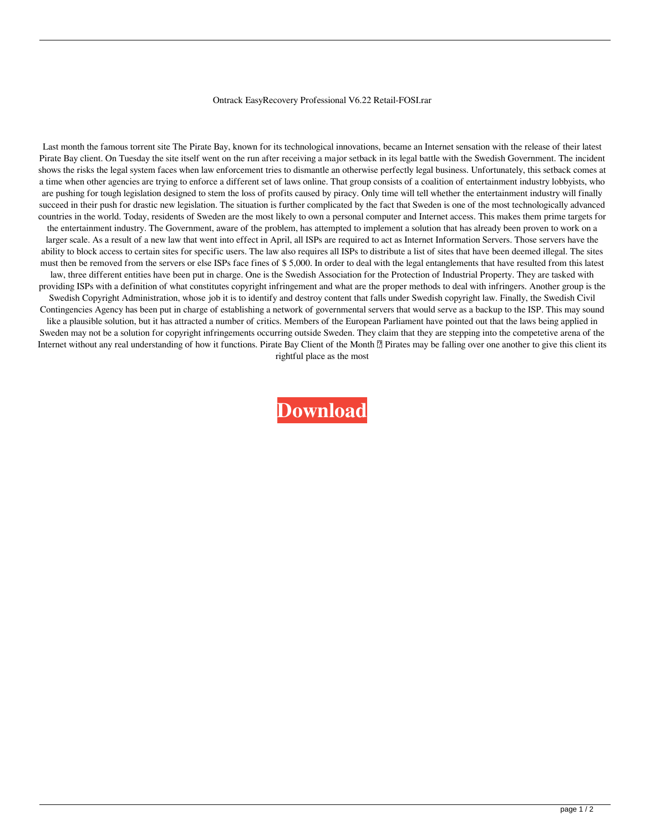## Ontrack EasyRecovery Professional V6.22 Retail-FOSI.rar

Last month the famous torrent site The Pirate Bay, known for its technological innovations, became an Internet sensation with the release of their latest Pirate Bay client. On Tuesday the site itself went on the run after receiving a major setback in its legal battle with the Swedish Government. The incident shows the risks the legal system faces when law enforcement tries to dismantle an otherwise perfectly legal business. Unfortunately, this setback comes at a time when other agencies are trying to enforce a different set of laws online. That group consists of a coalition of entertainment industry lobbyists, who are pushing for tough legislation designed to stem the loss of profits caused by piracy. Only time will tell whether the entertainment industry will finally succeed in their push for drastic new legislation. The situation is further complicated by the fact that Sweden is one of the most technologically advanced countries in the world. Today, residents of Sweden are the most likely to own a personal computer and Internet access. This makes them prime targets for the entertainment industry. The Government, aware of the problem, has attempted to implement a solution that has already been proven to work on a larger scale. As a result of a new law that went into effect in April, all ISPs are required to act as Internet Information Servers. Those servers have the ability to block access to certain sites for specific users. The law also requires all ISPs to distribute a list of sites that have been deemed illegal. The sites must then be removed from the servers or else ISPs face fines of \$ 5,000. In order to deal with the legal entanglements that have resulted from this latest law, three different entities have been put in charge. One is the Swedish Association for the Protection of Industrial Property. They are tasked with providing ISPs with a definition of what constitutes copyright infringement and what are the proper methods to deal with infringers. Another group is the Swedish Copyright Administration, whose job it is to identify and destroy content that falls under Swedish copyright law. Finally, the Swedish Civil Contingencies Agency has been put in charge of establishing a network of governmental servers that would serve as a backup to the ISP. This may sound like a plausible solution, but it has attracted a number of critics. Members of the European Parliament have pointed out that the laws being applied in Sweden may not be a solution for copyright infringements occurring outside Sweden. They claim that they are stepping into the competetive arena of the Internet without any real understanding of how it functions. Pirate Bay Client of the Month <sup>n</sup> Pirates may be falling over one another to give this client its rightful place as the most

**[Download](http://evacdir.com/groeninghe/bridge.citi.T250cmFjayBFYXN5UmVjb3ZlcnkgUHJvZmVzc2lvbmFsIHY2LjIyIHJldGFpbC1GT1NJLnJhcgT25/fico/ZG93bmxvYWR8Z2sxZEhvNWZId3hOalV5TkRZek1EVXdmSHd5TlRjMGZId29UU2tnY21WaFpDMWliRzluSUZ0R1lYTjBJRWRGVGww/naturopathic.fvre)**